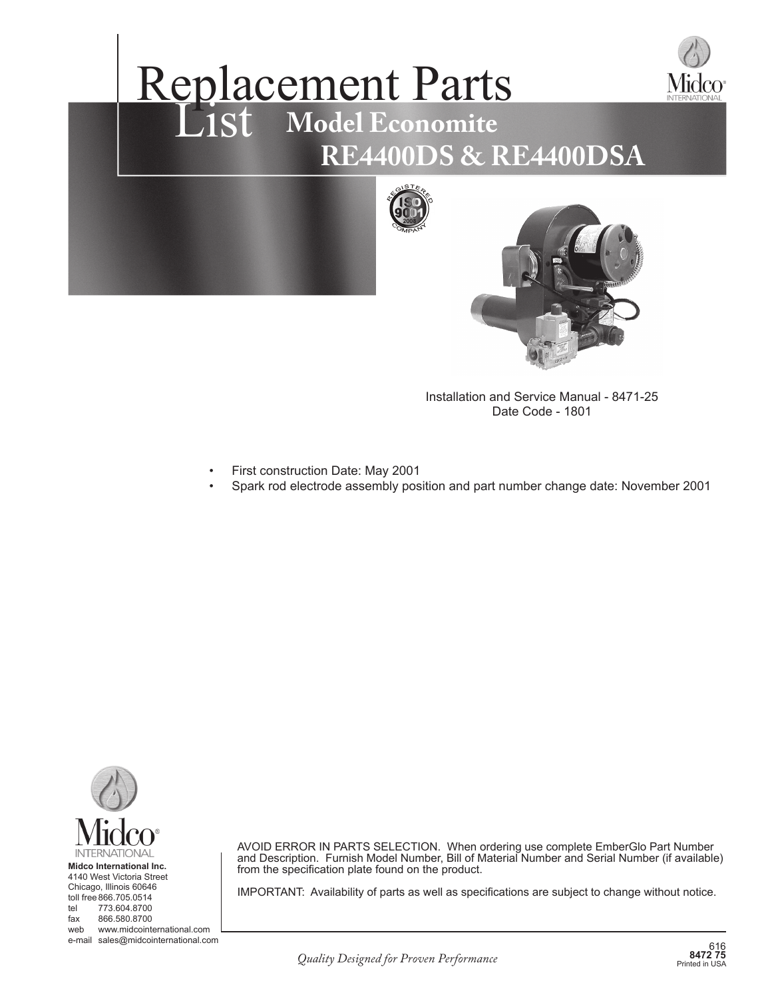

# Replacement Parts List Model Economite  **RE4400DS & RE4400DSA**



Installation and Service Manual - 8471-25 Date Code - 1801

- First construction Date: May 2001
- Spark rod electrode assembly position and part number change date: November 2001



4140 West Victoria Street Chicago, Illinois 60646 toll free 866.705.0514 tel 773.604.8700 fax 866.580.8700 web www.midcointernational.com

e-mail sales@midcointernational.com <sup>616</sup>

AVOID ERROR IN PARTS SELECTION. When ordering use complete EmberGlo Part Number and Description. Furnish Model Number, Bill of Material Number and Serial Number (if available) from the specification plate found on the product.

IMPORTANT: Availability of parts as well as specifications are subject to change without notice.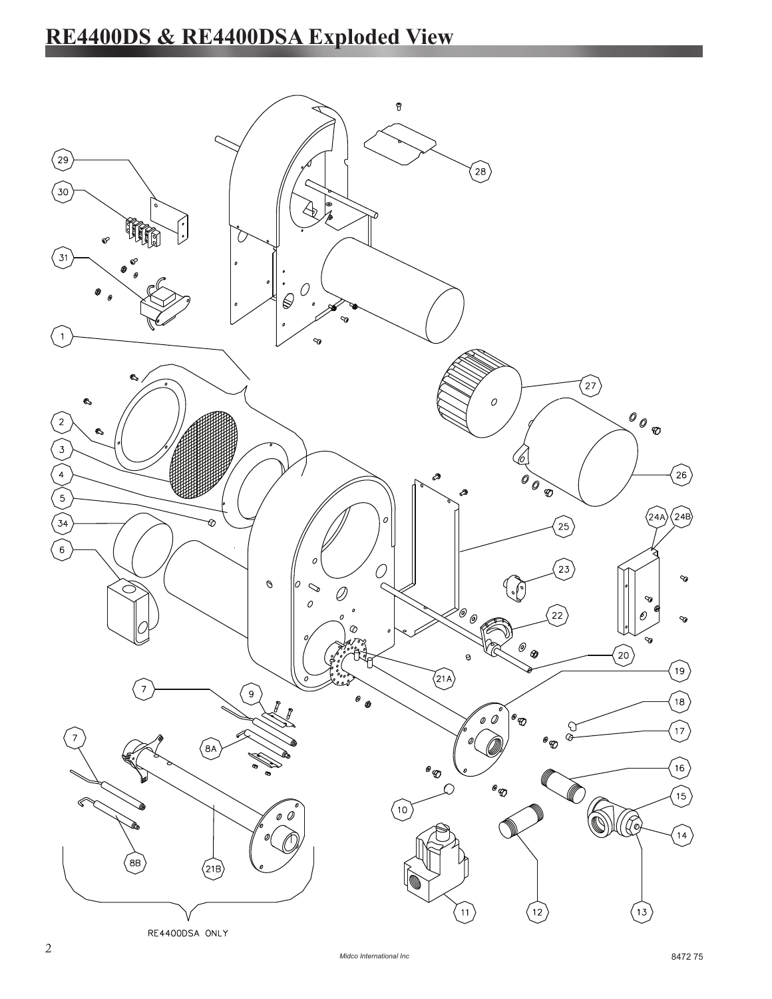## **RE4400DS & RE4400DSA Exploded View**

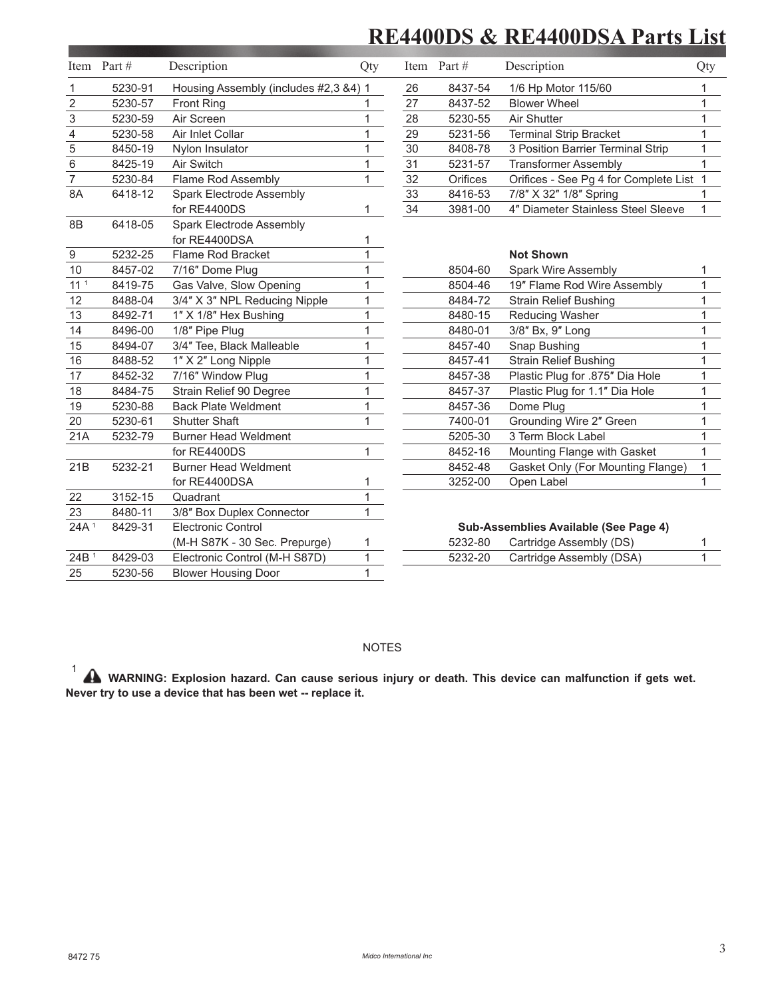### **RE4400DS & RE4400DSA Parts List**

|                  | Item Part # | Description                           | Qty          |    | Item Part #                           | Description                             | Qty |
|------------------|-------------|---------------------------------------|--------------|----|---------------------------------------|-----------------------------------------|-----|
| 1                | 5230-91     | Housing Assembly (includes #2,3 &4) 1 |              | 26 | 8437-54                               | 1/6 Hp Motor 115/60                     | 1   |
| $\sqrt{2}$       | 5230-57     | <b>Front Ring</b>                     | 1            | 27 | 8437-52                               | <b>Blower Wheel</b>                     | 1   |
| 3                | 5230-59     | Air Screen                            | 1            | 28 | 5230-55                               | Air Shutter                             | 1   |
| 4                | 5230-58     | Air Inlet Collar                      | 1            | 29 | 5231-56                               | <b>Terminal Strip Bracket</b>           | 1   |
| 5                | 8450-19     | Nylon Insulator                       | 1            | 30 | 8408-78                               | 3 Position Barrier Terminal Strip       | 1   |
| 6                | 8425-19     | Air Switch                            | 1            | 31 | 5231-57                               | <b>Transformer Assembly</b>             |     |
| $\overline{7}$   | 5230-84     | Flame Rod Assembly                    | 1            | 32 | Orifices                              | Orifices - See Pg 4 for Complete List 1 |     |
| 8A               | 6418-12     | Spark Electrode Assembly              |              | 33 | 8416-53                               | 7/8" X 32" 1/8" Spring                  |     |
|                  |             | for RE4400DS                          | 1            | 34 | 3981-00                               | 4" Diameter Stainless Steel Sleeve      |     |
| 8B               | 6418-05     | Spark Electrode Assembly              |              |    |                                       |                                         |     |
|                  |             | for RE4400DSA                         | 1            |    |                                       |                                         |     |
| $\boldsymbol{9}$ | 5232-25     | Flame Rod Bracket                     | $\mathbf{1}$ |    |                                       | <b>Not Shown</b>                        |     |
| 10               | 8457-02     | 7/16" Dome Plug                       | 1            |    | 8504-60                               | <b>Spark Wire Assembly</b>              | 1   |
| 11 <sup>1</sup>  | 8419-75     | Gas Valve, Slow Opening               | 1            |    | 8504-46                               | 19" Flame Rod Wire Assembly             | 1   |
| 12               | 8488-04     | 3/4" X 3" NPL Reducing Nipple         | $\mathbf{1}$ |    | 8484-72                               | <b>Strain Relief Bushing</b>            | 1   |
| 13               | 8492-71     | 1" X 1/8" Hex Bushing                 | 1            |    | 8480-15                               | Reducing Washer                         | 1   |
| 14               | 8496-00     | 1/8" Pipe Plug                        | 1            |    | 8480-01                               | 3/8" Bx, 9" Long                        | 1   |
| 15               | 8494-07     | 3/4" Tee, Black Malleable             | 1            |    | 8457-40                               | Snap Bushing                            | 1   |
| 16               | 8488-52     | 1" X 2" Long Nipple                   | 1            |    | 8457-41                               | <b>Strain Relief Bushing</b>            | 1   |
| 17               | 8452-32     | 7/16" Window Plug                     | 1            |    | 8457-38                               | Plastic Plug for .875" Dia Hole         | 1   |
| 18               | 8484-75     | Strain Relief 90 Degree               | 1            |    | 8457-37                               | Plastic Plug for 1.1" Dia Hole          | 1   |
| 19               | 5230-88     | <b>Back Plate Weldment</b>            | 1            |    | 8457-36                               | Dome Plug                               | 1   |
| 20               | 5230-61     | <b>Shutter Shaft</b>                  | 1            |    | 7400-01                               | Grounding Wire 2" Green                 | 1   |
| 21A              | 5232-79     | <b>Burner Head Weldment</b>           |              |    | 5205-30                               | 3 Term Block Label                      |     |
|                  |             | for RE4400DS                          | $\mathbf{1}$ |    | 8452-16                               | Mounting Flange with Gasket             |     |
| 21B              | 5232-21     | <b>Burner Head Weldment</b>           |              |    | 8452-48                               | Gasket Only (For Mounting Flange)       | 1   |
|                  |             | for RE4400DSA                         |              |    | 3252-00                               | Open Label                              | 1   |
| 22               | 3152-15     | Quadrant                              | $\mathbf{1}$ |    |                                       |                                         |     |
| 23               | 8480-11     | 3/8" Box Duplex Connector             | $\mathbf{1}$ |    |                                       |                                         |     |
| 24A <sup>1</sup> | 8429-31     | <b>Electronic Control</b>             |              |    | Sub-Assemblies Available (See Page 4) |                                         |     |
|                  |             | (M-H S87K - 30 Sec. Prepurge)         | 1            |    | 5232-80                               | Cartridge Assembly (DS)                 |     |
| 24B <sup>1</sup> | 8429-03     | Electronic Control (M-H S87D)         | 1            |    | 5232-20                               | Cartridge Assembly (DSA)                | 1   |
| 25               | 5230-56     | <b>Blower Housing Door</b>            | 1            |    |                                       |                                         |     |

#### NOTES

 1 WARNING: Explosion hazard. Can cause serious injury or death. This device can malfunction if gets wet. **Never try to use a device that has been wet -- replace it.**